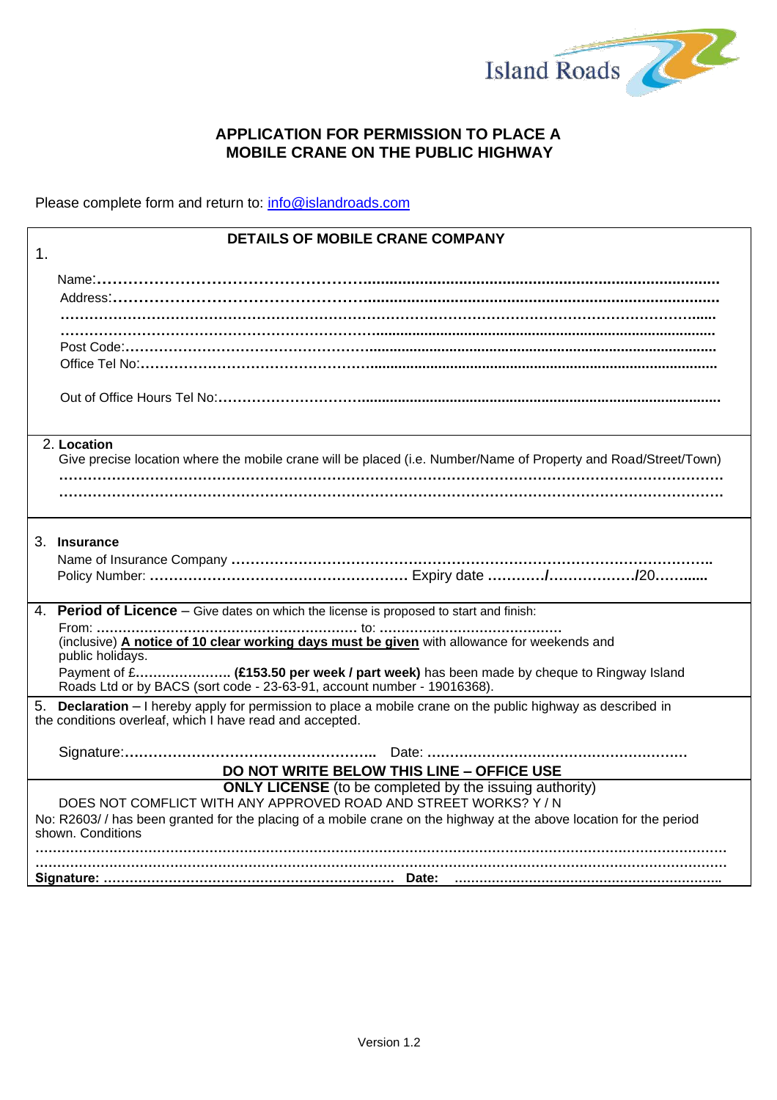

# **APPLICATION FOR PERMISSION TO PLACE A MOBILE CRANE ON THE PUBLIC HIGHWAY**

Please complete form and return to: info@islandroads.com

|               | <b>DETAILS OF MOBILE CRANE COMPANY</b>                                                                                                                                       |
|---------------|------------------------------------------------------------------------------------------------------------------------------------------------------------------------------|
| $\mathbf 1$ . |                                                                                                                                                                              |
|               |                                                                                                                                                                              |
|               |                                                                                                                                                                              |
|               |                                                                                                                                                                              |
|               |                                                                                                                                                                              |
|               |                                                                                                                                                                              |
|               |                                                                                                                                                                              |
|               |                                                                                                                                                                              |
|               | 2. Location                                                                                                                                                                  |
|               | Give precise location where the mobile crane will be placed (i.e. Number/Name of Property and Road/Street/Town)                                                              |
|               |                                                                                                                                                                              |
|               |                                                                                                                                                                              |
|               | 3. Insurance                                                                                                                                                                 |
|               | 4. Period of Licence – Give dates on which the license is proposed to start and finish:                                                                                      |
|               | (inclusive) A notice of 10 clear working days must be given with allowance for weekends and<br>public holidays.                                                              |
|               | Payment of £ (£153.50 per week / part week) has been made by cheque to Ringway Island<br>Roads Ltd or by BACS (sort code - 23-63-91, account number - 19016368).             |
|               | <b>Declaration</b> - I hereby apply for permission to place a mobile crane on the public highway as described in<br>the conditions overleaf, which I have read and accepted. |
|               |                                                                                                                                                                              |
|               | DO NOT WRITE BELOW THIS LINE - OFFICE USE                                                                                                                                    |
|               | <b>ONLY LICENSE</b> (to be completed by the issuing authority)<br>DOES NOT COMFLICT WITH ANY APPROVED ROAD AND STREET WORKS? Y/N                                             |
|               | No: R2603// has been granted for the placing of a mobile crane on the highway at the above location for the period                                                           |
|               | shown. Conditions                                                                                                                                                            |
|               |                                                                                                                                                                              |
|               |                                                                                                                                                                              |
|               |                                                                                                                                                                              |